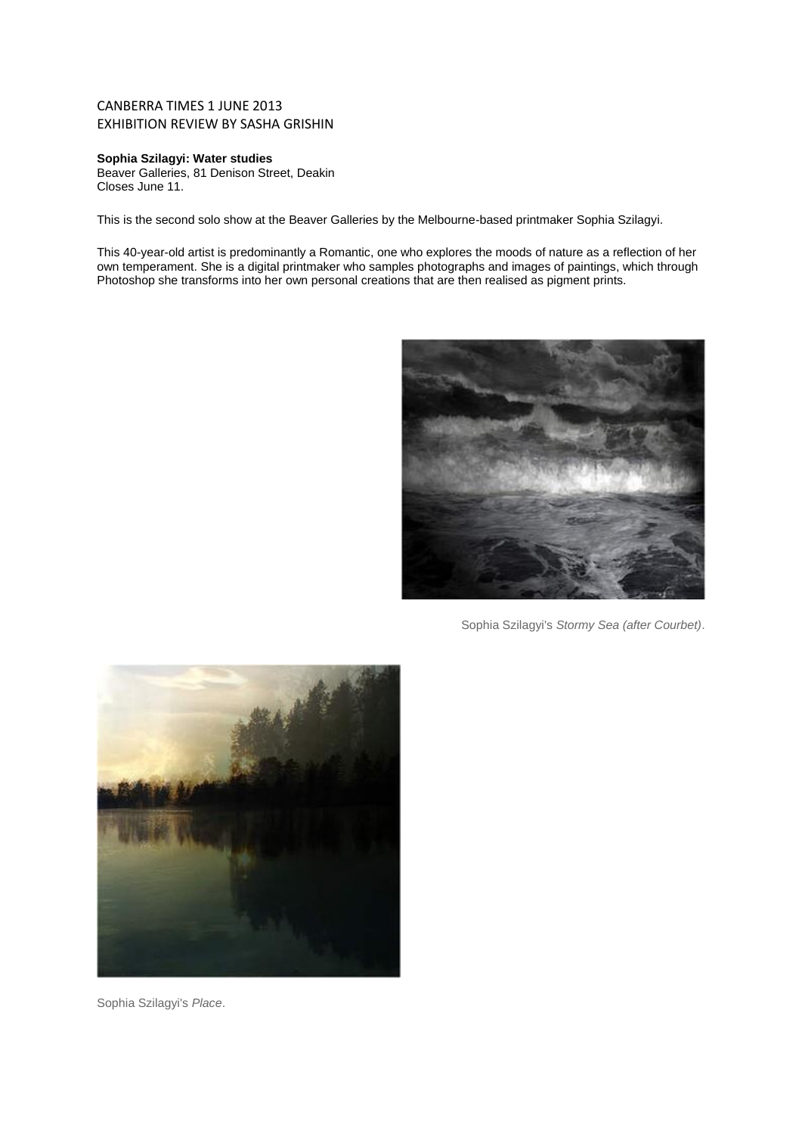## CANBERRA TIMES 1 JUNE 2013 EXHIBITION REVIEW BY SASHA GRISHIN

## **Sophia Szilagyi: Water studies**

Beaver Galleries, 81 Denison Street, Deakin Closes June 11.

This is the second solo show at the Beaver Galleries by the Melbourne-based printmaker Sophia Szilagyi.

This 40-year-old artist is predominantly a Romantic, one who explores the moods of nature as a reflection of her own temperament. She is a digital printmaker who samples photographs and images of paintings, which through Photoshop she transforms into her own personal creations that are then realised as pigment prints.



Sophia Szilagyi's *Stormy Sea (after Courbet)*.



Sophia Szilagyi's *Place*.